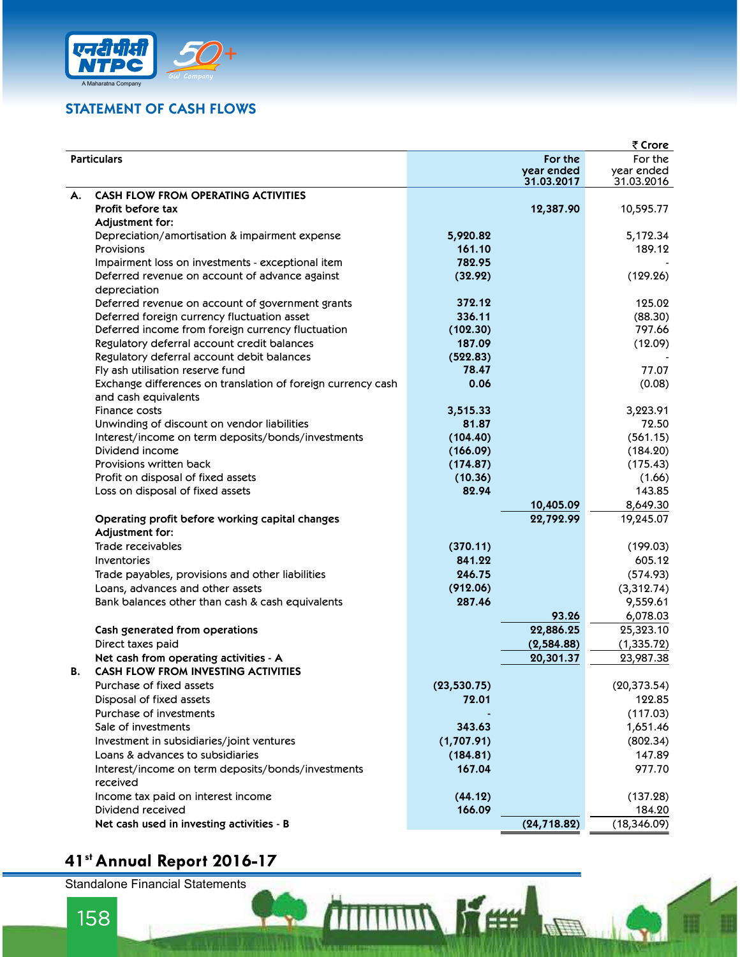

## STATEMENT OF CASH FLOWS

| एनदीपीसी                                                     |                     |                          |                          |
|--------------------------------------------------------------|---------------------|--------------------------|--------------------------|
| A Maharatna Company                                          |                     |                          |                          |
|                                                              |                     |                          |                          |
| <b>STATEMENT OF CASH FLOWS</b>                               |                     |                          |                          |
|                                                              |                     |                          |                          |
|                                                              |                     |                          | ₹ Crore                  |
| <b>Particulars</b>                                           |                     | For the                  | For the                  |
|                                                              |                     | year ended<br>31.03.2017 | year ended<br>31.03.2016 |
| <b>CASH FLOW FROM OPERATING ACTIVITIES</b><br>А.             |                     |                          |                          |
| <b>Profit before tax</b>                                     |                     | 12,387.90                | 10,595.77                |
| Adjustment for:                                              |                     |                          |                          |
| Depreciation/amortisation & impairment expense               | 5,920.82            |                          | 5,172.34                 |
| <b>Provisions</b>                                            | 161.10              |                          | 189.12                   |
| Impairment loss on investments - exceptional item            | 782.95              |                          |                          |
| Deferred revenue on account of advance against               | (32.92)             |                          | (129.26)                 |
| depreciation                                                 |                     |                          |                          |
| Deferred revenue on account of government grants             | 372.12              |                          | 125.02                   |
| Deferred foreign currency fluctuation asset                  | 336.11              |                          | (88.30)                  |
| Deferred income from foreign currency fluctuation            | (102.30)            |                          | 797.66                   |
| Regulatory deferral account credit balances                  | 187.09              |                          | (12.09)                  |
| Regulatory deferral account debit balances                   | (522.83)            |                          |                          |
| Fly ash utilisation reserve fund                             | 78.47               |                          | 77.07                    |
| Exchange differences on translation of foreign currency cash | 0.06                |                          | (0.08)                   |
| and cash equivalents                                         |                     |                          |                          |
| Finance costs                                                | 3,515.33            |                          | 3,223.91                 |
| Unwinding of discount on vendor liabilities                  | 81.87               |                          | 72.50                    |
| Interest/income on term deposits/bonds/investments           | (104.40)            |                          | (561.15)                 |
| Dividend income<br>Provisions written back                   | (166.09)            |                          | (184.20)                 |
| Profit on disposal of fixed assets                           | (174.87)<br>(10.36) |                          | (175.43)<br>(1.66)       |
| Loss on disposal of fixed assets                             | 82.94               |                          | 143.85                   |
|                                                              |                     | 10,405.09                | 8,649.30                 |
| Operating profit before working capital changes              |                     | 22,792.99                | 19,245.07                |
| Adjustment for:                                              |                     |                          |                          |
| Trade receivables                                            | (370.11)            |                          | (199.03)                 |
| Inventories                                                  | 841.22              |                          | 605.12                   |
| Trade payables, provisions and other liabilities             | 246.75              |                          | (574.93)                 |
| Loans, advances and other assets                             | (912.06)            |                          | (3,312.74)               |
| Bank balances other than cash & cash equivalents             | 287.46              |                          | 9,559.61                 |
|                                                              |                     | 93.26                    | 6,078.03                 |
| Cash generated from operations                               |                     | 22,886.25                | 25,323.10                |
| Direct taxes paid                                            |                     | (2,584.88)               | (1, 335.72)              |
| Net cash from operating activities - A                       |                     | 20,301.37                | 23,987.38                |
| <b>CASH FLOW FROM INVESTING ACTIVITIES</b><br>В.             |                     |                          |                          |
| Purchase of fixed assets                                     | (23, 530.75)        |                          | (20, 373.54)             |
| Disposal of fixed assets                                     | 72.01               |                          | 122.85                   |
| Purchase of investments                                      |                     |                          | (117.03)                 |
| Sale of investments                                          | 343.63              |                          | 1,651.46                 |
| Investment in subsidiaries/joint ventures                    | (1,707.91)          |                          | (802.34)                 |
| Loans & advances to subsidiaries                             | (184.81)            |                          | 147.89                   |
| Interest/income on term deposits/bonds/investments           | 167.04              |                          | 977.70                   |
| received                                                     |                     |                          |                          |
| Income tax paid on interest income                           | (44.12)             |                          | (137.28)                 |
| Dividend received                                            | 166.09              |                          | 184.20                   |
| Net cash used in investing activities - B                    |                     | (24, 718.82)             | (18, 346.09)             |

**ND** 

## 41st Annual Report 2016-17

Standalone Financial Statements<br>158